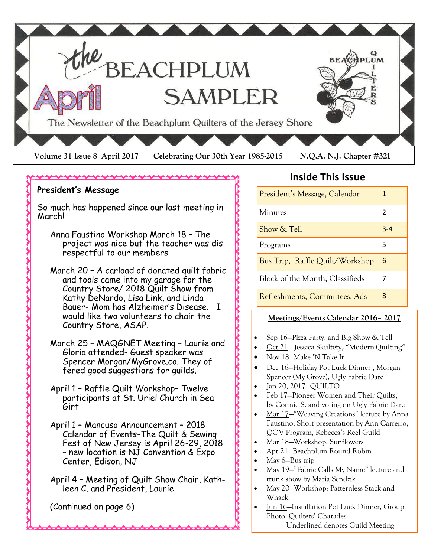

#### **President's Message**

So much has happened since our last meeting in March!

- Anna Faustino Workshop March 18 The project was nice but the teacher was disrespectful to our members
- March 20 A carload of donated quilt fabric and tools came into my garage for the Country Store/ 2018 Quilt Show from Kathy DeNardo, Lisa Link, and Linda Bauer- Mom has Alzheimer's Disease. I would like two volunteers to chair the Country Store, ASAP.
- March 25 MAQGNET Meeting Laurie and Gloria attended- Guest speaker was Spencer Morgan/MyGrove.co. They offered good suggestions for guilds.
- April 1 Raffle Quilt Workshop– Twelve participants at St. Uriel Church in Sea Girt
- April 1 Mancuso Announcement 2018 Calendar of Events-The Quilt & Sewing Fest of New Jersey is April 26-29, 2018 – new location is NJ Convention & Expo Center, Edison, NJ

April 4 – Meeting of Quilt Show Chair, Kathleen C. and President, Laurie

(Continued on page 6)

### **Inside This Issue**

| President's Message, Calendar   | 1              |
|---------------------------------|----------------|
| Minutes                         | $\mathfrak{p}$ |
| Show & Tell                     | $3 - 4$        |
| Programs                        | 5              |
| Bus Trip, Raffle Quilt/Workshop | 6              |
| Block of the Month, Classifieds |                |
| Refreshments, Committees, Ads   | 8              |

#### **Meetings/Events Calendar 2016– 2017**

- Sep 16—Pizza Party, and Big Show & Tell
- Oct 21— Jessica Skultety, "Modern Quilting"
- Nov 18—Make 'N Take It
- Dec 16—Holiday Pot Luck Dinner , Morgan Spencer (My Grove), Ugly Fabric Dare
- Jan 20, 2017—QUILTO
- Feb 17—Pioneer Women and Their Quilts, by Connie S. and voting on Ugly Fabric Dare
- Mar 17—"Weaving Creations" lecture by Anna Faustino, Short presentation by Ann Carreiro, QOV Program, Rebecca's Reel Guild
- Mar 18—Workshop: Sunflowers
- Apr 21—Beachplum Round Robin
- May 6—Bus trip
- May 19—"Fabric Calls My Name" lecture and trunk show by Maria Sendzik
- May 20—Workshop: Patternless Stack and Whack
- Jun 16—Installation Pot Luck Dinner, Group Photo, Quilters' Charades Underlined denotes Guild Meeting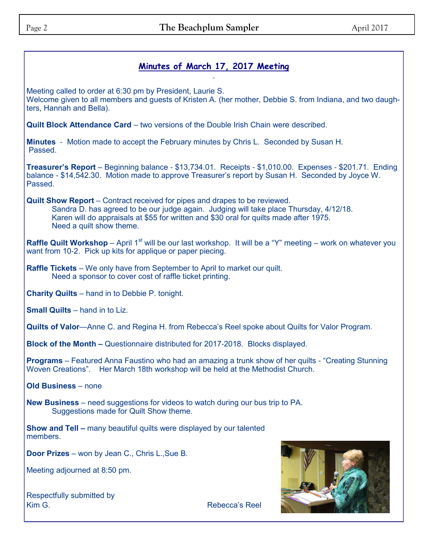#### **Minutes of March 17, 2017 Meeting**  .

Meeting called to order at 6:30 pm by President, Laurie S. Welcome given to all members and guests of Kristen A. (her mother, Debbie S. from Indiana, and two daughters, Hannah and Bella).

**Quilt Block Attendance Card** – two versions of the Double Irish Chain were described.

**Minutes** - Motion made to accept the February minutes by Chris L. Seconded by Susan H. Passed.

**Treasurer's Report** – Beginning balance - \$13,734.01. Receipts - \$1,010.00. Expenses - \$201.71. Ending balance - \$14,542.30. Motion made to approve Treasurer's report by Susan H. Seconded by Joyce W. Passed.

**Quilt Show Report** – Contract received for pipes and drapes to be reviewed. Sandra D. has agreed to be our judge again. Judging will take place Thursday, 4/12/18. Karen will do appraisals at \$55 for written and \$30 oral for quilts made after 1975. Need a quilt show theme.

**Raffle Quilt Workshop** – April 1<sup>st</sup> will be our last workshop. It will be a "Y" meeting – work on whatever you want from 10-2. Pick up kits for applique or paper piecing.

**Raffle Tickets** – We only have from September to April to market our quilt. Need a sponsor to cover cost of raffle ticket printing.

**Charity Quilts** – hand in to Debbie P. tonight.

**Small Quilts** – hand in to Liz.

**Quilts of Valor**—Anne C. and Regina H. from Rebecca's Reel spoke about Quilts for Valor Program.

**Block of the Month –** Questionnaire distributed for 2017-2018. Blocks displayed.

**Programs** – Featured Anna Faustino who had an amazing a trunk show of her quilts - "Creating Stunning Woven Creations". Her March 18th workshop will be held at the Methodist Church.

**Old Business** – none

**New Business** – need suggestions for videos to watch during our bus trip to PA. Suggestions made for Quilt Show theme.

**Show and Tell –** many beautiful quilts were displayed by our talented members.

**Door Prizes** – won by Jean C., Chris L.,Sue B.

Meeting adjourned at 8:50 pm.

| <b>Respectfully submitted by</b> |  |
|----------------------------------|--|
| Kim G.                           |  |



Rebecca's Reel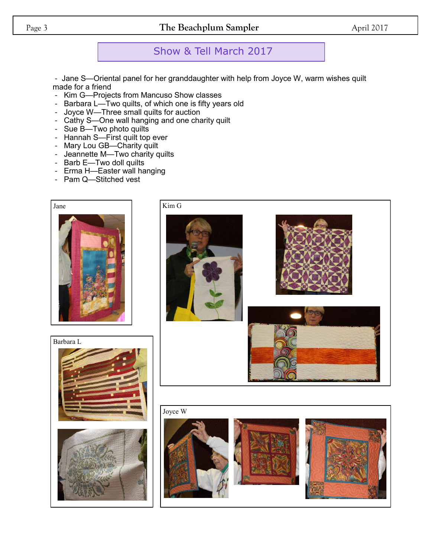#### Page 3 **The Beachplum Sampler** April 2017

## Show & Tell March 2017

- Jane S—Oriental panel for her granddaughter with help from Joyce W, warm wishes quilt made for a friend

- Kim G—Projects from Mancuso Show classes
- Barbara L—Two quilts, of which one is fifty years old
- Joyce W—Three small quilts for auction
- Cathy S—One wall hanging and one charity quilt
- Sue B-Two photo quilts
- Hannah S—First quilt top ever
- Mary Lou GB—Charity quilt
- Jeannette M—Two charity quilts
- Barb E—Two doll quilts
- Erma H—Easter wall hanging
- Pam Q—Stitched vest



Kim G





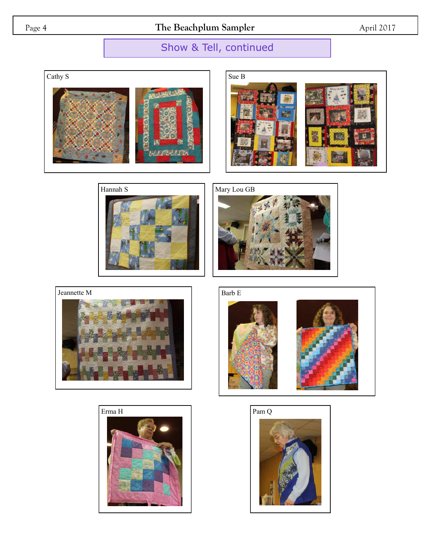Page 4 **The Beachplum Sampler** April 2017

# Show & Tell, continued















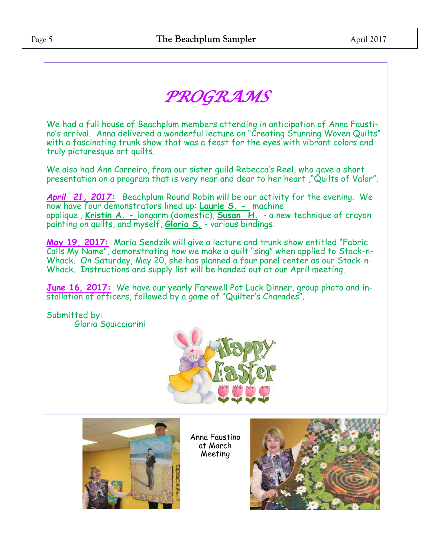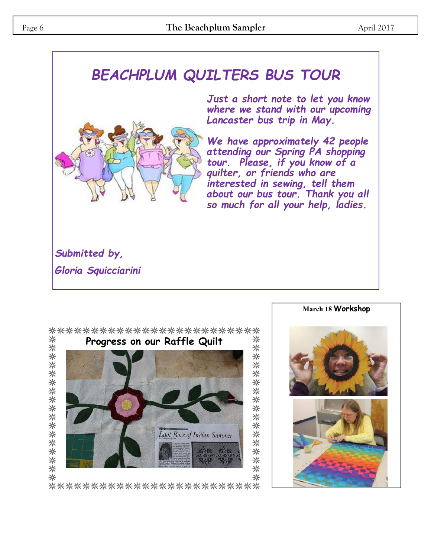# *BEACHPLUM QUILTERS BUS TOUR*



*Just a short note to let you know where we stand with our upcoming Lancaster bus trip in May.* 

*We have approximately 42 people attending our Spring PA shopping tour. Please, if you know of a quilter, or friends who are interested in sewing, tell them about our bus tour. Thank you all so much for all your help, ladies.*

*Submitted by, Gloria Squicciarini*



\*\*\*\*\*\*\*\*\*\*\*\*\*\*\*\*\*\*\*\*\*\*\*\*\*\*



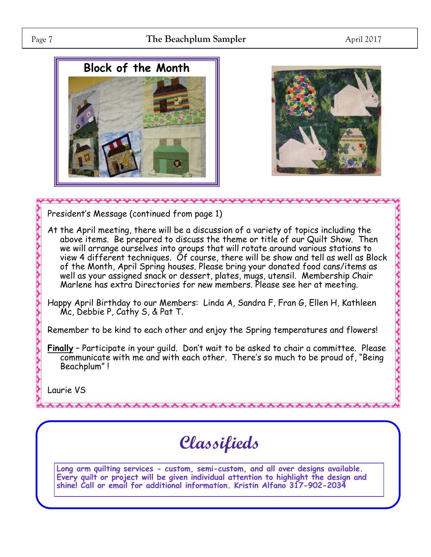#### Page 7 **The Beachplum Sampler** April 2017





President's Message (continued from page 1)

- At the April meeting, there will be a discussion of a variety of topics including the above items. Be prepared to discuss the theme or title of our Quilt Show. Then we will arrange ourselves into groups that will rotate around various stations to view 4 different techniques. Of course, there will be show and tell as well as Block of the Month, April Spring houses. Please bring your donated food cans/items as well as your assigned snack or dessert, plates, mugs, utensil. Membership Chair Marlene has extra Directories for new members. Please see her at meeting.
- Happy April Birthday to our Members: Linda A, Sandra F, Fran G, Ellen H, Kathleen Mc, Debbie P, Cathy S, & Pat T.

Remember to be kind to each other and enjoy the Spring temperatures and flowers!

**Finally** – Participate in your guild. Don't wait to be asked to chair a committee. Please communicate with me and with each other. There's so much to be proud of, "Being Beachplum" !

Laurie VS

**Classifieds**

**Long arm quilting services - custom, semi-custom, and all over designs available. Every quilt or project will be given individual attention to highlight the design and shine! Call or email for additional information. Kristin Alfano 317-902-2034**